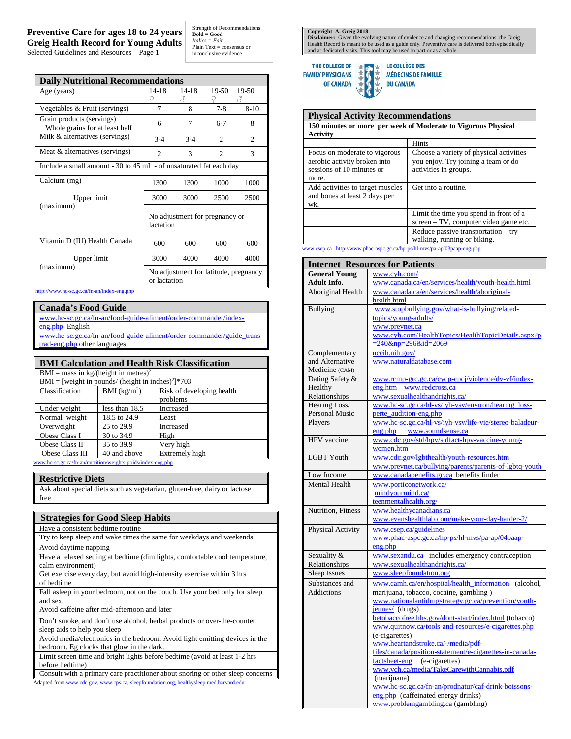## **Preventive Care for ages 18 to 24 years Greig Health Record for Young Adults** Selected Guidelines and Resources – Page 1

Strength of Recommendations **Bold = Good**  *Italics = Fair* Plain Text = consensus or inconclusive evidence

| <b>Daily Nutritional Recommendations</b>                           |                                                       |                |                |                |
|--------------------------------------------------------------------|-------------------------------------------------------|----------------|----------------|----------------|
| Age (years)                                                        | 14-18<br>¥                                            | $14 - 18$<br>8 | 19-50<br>¥     | 19-50          |
| Vegetables & Fruit (servings)                                      | 7                                                     | 8              | $7 - 8$        | $8 - 10$       |
| Grain products (servings)<br>Whole grains for at least half        | 6                                                     | 7              | $6 - 7$        | 8              |
| Milk & alternatives (servings)                                     | $3 - 4$                                               | $3 - 4$        | $\overline{c}$ | $\overline{2}$ |
| Meat & alternatives (servings)                                     | $\overline{c}$                                        | 3              | $\mathfrak{D}$ | $\mathcal{R}$  |
| Include a small amount - 30 to 45 mL - of unsaturated fat each day |                                                       |                |                |                |
| Calcium (mg)                                                       | 1300                                                  | 1300           | 1000           | 1000           |
| Upper limit                                                        | 3000                                                  | 3000           | 2500           | 2500           |
| (maximum)                                                          | No adjustment for pregnancy or<br>lactation           |                |                |                |
| Vitamin D (IU) Health Canada                                       | 600                                                   | 600            | 600            | 600            |
| Upper limit                                                        | 3000                                                  | 4000           | 4000           | 4000           |
| (maximum)                                                          | No adjustment for latitude, pregnancy<br>or lactation |                |                |                |

<http://www.hc-sc.gc.ca/fn-an/index-eng.php>

| <b>Canada's Food Guide</b>                                            |
|-----------------------------------------------------------------------|
| www.hc-sc.gc.ca/fn-an/food-guide-aliment/order-commander/index-       |
| eng.php English                                                       |
| www.hc-sc.gc.ca/fn-an/food-guide-aliment/order-commander/guide trans- |
| trad-eng.php other languages                                          |

| <b>BMI Calculation and Health Risk Classification</b>            |                            |                           |  |  |
|------------------------------------------------------------------|----------------------------|---------------------------|--|--|
| $BMI = mass in kg/ (height in metres)2$                          |                            |                           |  |  |
| $BMI =$ [weight in pounds/ (height in inches) <sup>2</sup> ]*703 |                            |                           |  |  |
| Classification                                                   | $BMI$ (kg/m <sup>2</sup> ) | Risk of developing health |  |  |
|                                                                  |                            | problems                  |  |  |
| Under weight                                                     | less than 18.5             | Increased                 |  |  |
| Normal weight                                                    | 18.5 to 24.9               | Least                     |  |  |
| Overweight                                                       | 25 to 29.9                 | Increased                 |  |  |
| Obese Class I                                                    | 30 to 34.9                 | High                      |  |  |
| Obese Class II                                                   | 35 to 39.9                 | Very high                 |  |  |
| Obese Class III                                                  | 40 and above               | Extremely high            |  |  |

trition/weights-poids/index-en

## **Restrictive Diets**

Ask about special diets such as vegetarian, gluten-free, dairy or lactose free

| <b>Strategies for Good Sleep Habits</b>                                                                                  |
|--------------------------------------------------------------------------------------------------------------------------|
| Have a consistent bedtime routine                                                                                        |
| Try to keep sleep and wake times the same for weekdays and weekends                                                      |
| Avoid daytime napping                                                                                                    |
| Have a relaxed setting at bedtime (dim lights, comfortable cool temperature,<br>calm environment)                        |
| Get exercise every day, but avoid high-intensity exercise within 3 hrs<br>of bedtime                                     |
| Fall asleep in your bedroom, not on the couch. Use your bed only for sleep<br>and sex.                                   |
| Avoid caffeine after mid-afternoon and later                                                                             |
| Don't smoke, and don't use alcohol, herbal products or over-the-counter<br>sleep aids to help you sleep                  |
| Avoid media/electronics in the bedroom. Avoid light emitting devices in the<br>bedroom. Eg clocks that glow in the dark. |
| Limit screen time and bright lights before bedtime (avoid at least 1-2 hrs<br>before bedtime)                            |

Consult with a primary care practitioner about snoring or other sleep concerns Adapted fro[m www.cdc.gov,](http://www.cdc.gov/) [www.cps.ca,](http://www.cps.ca/) sleepfoundation.org, healthysleep.med.harvard.edu

**Copyright A. Greig 2018**<br>**Disclaimer:** Given the evolving nature of evidence and changing recommendations, the Greig<br>Health Record is meant to be used as a guide only. Preventive care is delivered both episodically<br>and at



**IS** LE COLLÈGE DES 小开开开开车 MÉDECINS DE FAMILLE **DU CANADA** 

| <b>Physical Activity Recommendations</b>                                                            |                                                                                                         |  |  |
|-----------------------------------------------------------------------------------------------------|---------------------------------------------------------------------------------------------------------|--|--|
| 150 minutes or more per week of Moderate to Vigorous Physical                                       |                                                                                                         |  |  |
| Activity                                                                                            | <b>Hints</b>                                                                                            |  |  |
| Focus on moderate to vigorous<br>aerobic activity broken into<br>sessions of 10 minutes or<br>more. | Choose a variety of physical activities<br>you enjoy. Try joining a team or do<br>activities in groups. |  |  |
| Add activities to target muscles<br>and bones at least 2 days per<br>wk.                            | Get into a routine.                                                                                     |  |  |
|                                                                                                     | Limit the time you spend in front of a<br>screen – TV, computer video game etc.                         |  |  |
|                                                                                                     | Reduce passive transportation $-$ try<br>walking, running or biking.                                    |  |  |

[www.csep.ca](http://www.csep.ca/) <http://www.phac-aspc.gc.ca/hp-ps/hl-mvs/pa-ap/03paap-eng.php>

| <b>Internet Resources for Patients</b> |                                                         |  |
|----------------------------------------|---------------------------------------------------------|--|
| <b>General Young</b>                   | www.cyh.com/                                            |  |
| Adult Info.                            | www.canada.ca/en/services/health/youth-health.html      |  |
| Aboriginal Health                      | www.canada.ca/en/services/health/aboriginal-            |  |
|                                        | health.html                                             |  |
| <b>Bullying</b>                        | www.stopbullying.gov/what-is-bullying/related-          |  |
|                                        | topics/young-adults/                                    |  |
|                                        | www.prevnet.ca                                          |  |
|                                        | www.cyh.com/HealthTopics/HealthTopicDetails.aspx?p      |  |
|                                        | $= 240$ &np=296&id=2069                                 |  |
| Complementary                          | nccih.nih.gov/                                          |  |
| and Alternative                        | www.naturaldatabase.com                                 |  |
| Medicine (CAM)                         |                                                         |  |
| Dating Safety &                        | www.rcmp-grc.gc.ca/cycp-cpcj/violence/dv-vf/index-      |  |
| Healthy                                | eng.htm<br>www.redcross.ca                              |  |
| Relationships                          | www.sexualhealthandrights.ca/                           |  |
| Hearing Loss/                          | www.hc-sc.gc.ca/hl-vs/iyh-vsv/environ/hearing_loss-     |  |
| <b>Personal Music</b>                  | perte_audition-eng.php                                  |  |
| Players                                | www.hc-sc.gc.ca/hl-vs/iyh-vsv/life-vie/stereo-baladeur- |  |
|                                        | eng.php www.soundsense.ca                               |  |
| HPV vaccine                            | www.cdc.gov/std/hpv/stdfact-hpv-vaccine-young-          |  |
|                                        | women.htm                                               |  |
| <b>LGBT Youth</b>                      | www.cdc.gov/lgbthealth/youth-resources.htm              |  |
|                                        | www.prevnet.ca/bullying/parents/parents-of-lgbtq-youth  |  |
| Low Income                             | www.canadabenefits.gc.ca benefits finder                |  |
| Mental Health                          | www.porticonetwork.ca/                                  |  |
|                                        | mindyourmind.ca/                                        |  |
|                                        | teenmentalhealth.org/                                   |  |
| Nutrition, Fitness                     | www.healthycanadians.ca                                 |  |
|                                        | www.evanshealthlab.com/make-your-day-harder-2/          |  |
| Physical Activity                      | www.csep.ca/guidelines                                  |  |
|                                        | www.phac-aspc.gc.ca/hp-ps/hl-mvs/pa-ap/04paap-          |  |
|                                        | eng.php                                                 |  |
| Sexuality &                            | www.sexandu.ca_includes emergency contraception         |  |
| Relationships                          | www.sexualhealthandrights.ca/                           |  |
| Sleep Issues                           | www.sleepfoundation.org                                 |  |
| Substances and                         | www.camh.ca/en/hospital/health_information<br>(alcohol, |  |
| <b>Addictions</b>                      | marijuana, tobacco, cocaine, gambling)                  |  |
|                                        | www.nationalantidrugstrategy.gc.ca/prevention/youth-    |  |
|                                        | jeunes/ (drugs)                                         |  |
|                                        | betobaccofree.hhs.gov/dont-start/index.html (tobacco)   |  |
|                                        | www.quitnow.ca/tools-and-resources/e-cigarettes.php     |  |
|                                        | (e-cigarettes)                                          |  |
|                                        | www.heartandstroke.ca/-/media/pdf-                      |  |
|                                        | files/canada/position-statement/e-cigarettes-in-canada- |  |
|                                        | (e-cigarettes)<br>factsheet-eng                         |  |
|                                        | www.vch.ca/media/TakeCarewithCannabis.pdf               |  |
|                                        | (marijuana)                                             |  |
|                                        | www.hc-sc.gc.ca/fn-an/prodnatur/caf-drink-boissons-     |  |
|                                        | eng.php (caffeinated energy drinks)                     |  |
|                                        | www.problemgambling.ca (gambling)                       |  |